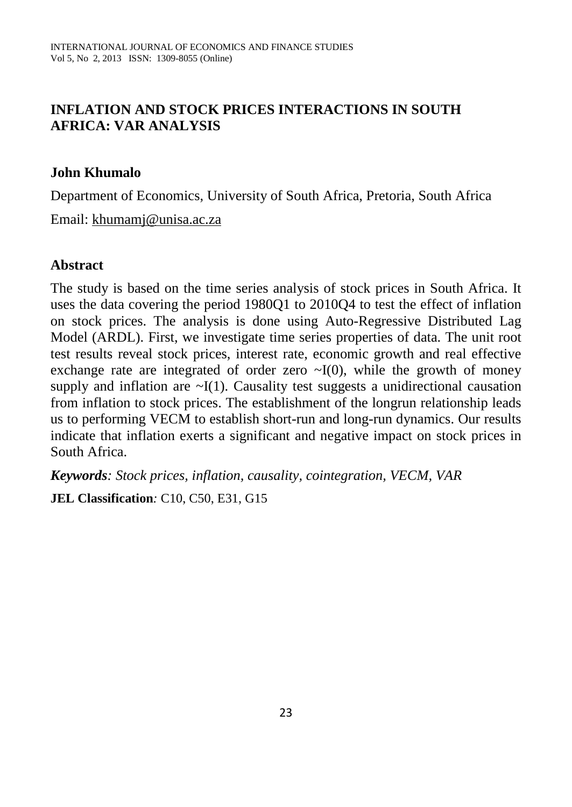# **INFLATION AND STOCK PRICES INTERACTIONS IN SOUTH AFRICA: VAR ANALYSIS**

#### **John Khumalo**

Department of Economics, University of South Africa, Pretoria, South Africa

Email: [khumamj@unisa.ac.za](mailto:khumamj@unisa.ac.za)

#### **Abstract**

The study is based on the time series analysis of stock prices in South Africa. It uses the data covering the period 1980Q1 to 2010Q4 to test the effect of inflation on stock prices. The analysis is done using Auto-Regressive Distributed Lag Model (ARDL). First, we investigate time series properties of data. The unit root test results reveal stock prices, interest rate, economic growth and real effective exchange rate are integrated of order zero  $\sim I(0)$ , while the growth of money supply and inflation are  $\sim I(1)$ . Causality test suggests a unidirectional causation from inflation to stock prices. The establishment of the longrun relationship leads us to performing VECM to establish short-run and long-run dynamics. Our results indicate that inflation exerts a significant and negative impact on stock prices in South Africa.

*Keywords: Stock prices, inflation, causality, cointegration, VECM, VAR*

**JEL Classification***:* C10, C50, E31, G15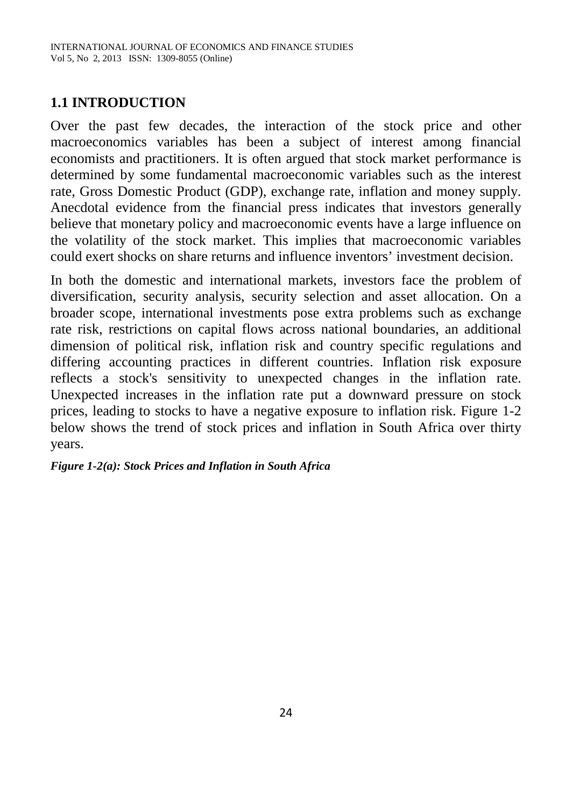# **1.1 INTRODUCTION**

Over the past few decades, the interaction of the stock price and other macroeconomics variables has been a subject of interest among financial economists and practitioners. It is often argued that stock market performance is determined by some fundamental macroeconomic variables such as the interest rate, Gross Domestic Product (GDP), exchange rate, inflation and money supply. Anecdotal evidence from the financial press indicates that investors generally believe that monetary policy and macroeconomic events have a large influence on the volatility of the stock market. This implies that macroeconomic variables could exert shocks on share returns and influence inventors' investment decision.

In both the domestic and international markets, investors face the problem of diversification, security analysis, security selection and asset allocation. On a broader scope, international investments pose extra problems such as exchange rate risk, restrictions on capital flows across national boundaries, an additional dimension of political risk, inflation risk and country specific regulations and differing accounting practices in different countries. Inflation risk exposure reflects a stock's sensitivity to unexpected changes in the inflation rate. Unexpected increases in the inflation rate put a downward pressure on stock prices, leading to stocks to have a negative exposure to inflation risk. Figure 1-2 below shows the trend of stock prices and inflation in South Africa over thirty years.

#### *Figure 1-2(a): Stock Prices and Inflation in South Africa*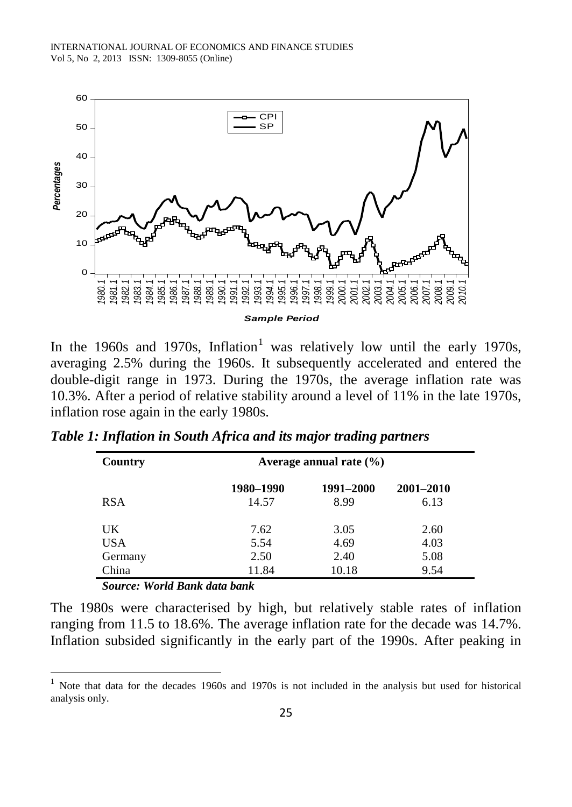INTERNATIONAL JOURNAL OF ECONOMICS AND FINANCE STUDIES Vol 5, No 2, 2013 ISSN: 1309-8055 (Online)



In the [1](#page-2-0)960s and 1970s, Inflation<sup>1</sup> was relatively low until the early 1970s, averaging 2.5% during the 1960s. It subsequently accelerated and entered the double-digit range in 1973. During the 1970s, the average inflation rate was 10.3%. After a period of relative stability around a level of 11% in the late 1970s, inflation rose again in the early 1980s.

| Country    | Average annual rate $(\% )$ |           |               |  |  |  |
|------------|-----------------------------|-----------|---------------|--|--|--|
|            | 1980-1990                   | 1991-2000 | $2001 - 2010$ |  |  |  |
| <b>RSA</b> | 14.57                       | 8.99      | 6.13          |  |  |  |
| UK.        | 7.62                        | 3.05      | 2.60          |  |  |  |
| USA        | 5.54                        | 4.69      | 4.03          |  |  |  |
| Germany    | 2.50                        | 2.40      | 5.08          |  |  |  |
| China      | 11.84                       | 10.18     | 9.54          |  |  |  |

*Table 1: Inflation in South Africa and its major trading partners*

*Source: World Bank data bank* 

 $\overline{a}$ 

The 1980s were characterised by high, but relatively stable rates of inflation ranging from 11.5 to 18.6%. The average inflation rate for the decade was 14.7%. Inflation subsided significantly in the early part of the 1990s. After peaking in

<span id="page-2-0"></span><sup>1</sup> Note that data for the decades 1960s and 1970s is not included in the analysis but used for historical analysis only.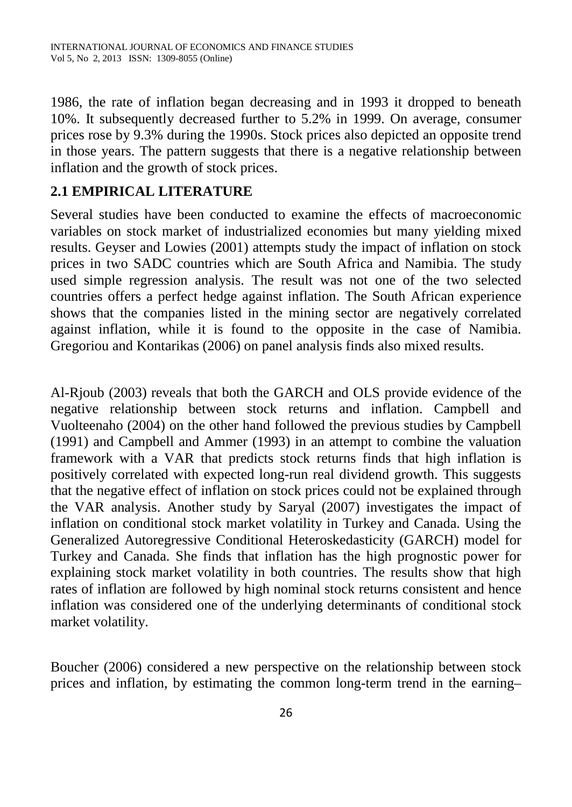1986, the rate of inflation began decreasing and in 1993 it dropped to beneath 10%. It subsequently decreased further to 5.2% in 1999. On average, consumer prices rose by 9.3% during the 1990s. Stock prices also depicted an opposite trend in those years. The pattern suggests that there is a negative relationship between inflation and the growth of stock prices.

# **2.1 EMPIRICAL LITERATURE**

Several studies have been conducted to examine the effects of macroeconomic variables on stock market of industrialized economies but many yielding mixed results. Geyser and Lowies (2001) attempts study the impact of inflation on stock prices in two SADC countries which are South Africa and Namibia. The study used simple regression analysis. The result was not one of the two selected countries offers a perfect hedge against inflation. The South African experience shows that the companies listed in the mining sector are negatively correlated against inflation, while it is found to the opposite in the case of Namibia. Gregoriou and Kontarikas (2006) on panel analysis finds also mixed results.

Al-Rjoub (2003) reveals that both the GARCH and OLS provide evidence of the negative relationship between stock returns and inflation. Campbell and Vuolteenaho (2004) on the other hand followed the previous studies by Campbell (1991) and Campbell and Ammer (1993) in an attempt to combine the valuation framework with a VAR that predicts stock returns finds that high inflation is positively correlated with expected long-run real dividend growth. This suggests that the negative effect of inflation on stock prices could not be explained through the VAR analysis. Another study by Saryal (2007) investigates the impact of inflation on conditional stock market volatility in Turkey and Canada. Using the Generalized Autoregressive Conditional Heteroskedasticity (GARCH) model for Turkey and Canada. She finds that inflation has the high prognostic power for explaining stock market volatility in both countries. The results show that high rates of inflation are followed by high nominal stock returns consistent and hence inflation was considered one of the underlying determinants of conditional stock market volatility.

Boucher (2006) considered a new perspective on the relationship between stock prices and inflation, by estimating the common long-term trend in the earning–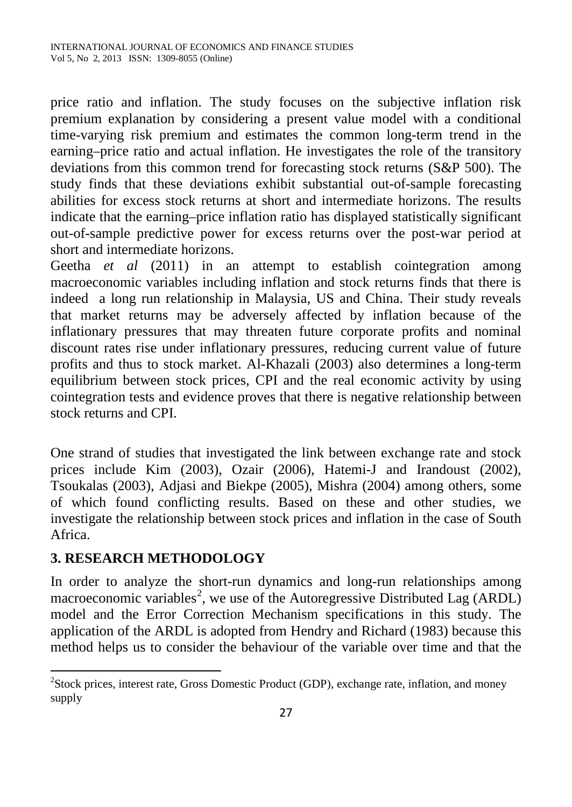price ratio and inflation. The study focuses on the subjective inflation risk premium explanation by considering a present value model with a conditional time-varying risk premium and estimates the common long-term trend in the earning–price ratio and actual inflation. He investigates the role of the transitory deviations from this common trend for forecasting stock returns (S&P 500). The study finds that these deviations exhibit substantial out-of-sample forecasting abilities for excess stock returns at short and intermediate horizons. The results indicate that the earning–price inflation ratio has displayed statistically significant out-of-sample predictive power for excess returns over the post-war period at short and intermediate horizons.

Geetha *et al* (2011) in an attempt to establish cointegration among macroeconomic variables including inflation and stock returns finds that there is indeed a long run relationship in Malaysia, US and China. Their study reveals that market returns may be adversely affected by inflation because of the inflationary pressures that may threaten future corporate profits and nominal discount rates rise under inflationary pressures, reducing current value of future profits and thus to stock market. Al-Khazali (2003) also determines a long-term equilibrium between stock prices, CPI and the real economic activity by using cointegration tests and evidence proves that there is negative relationship between stock returns and CPI.

One strand of studies that investigated the link between exchange rate and stock prices include Kim (2003), Ozair (2006), Hatemi-J and Irandoust (2002), Tsoukalas (2003), Adjasi and Biekpe (2005), Mishra (2004) among others, some of which found conflicting results. Based on these and other studies, we investigate the relationship between stock prices and inflation in the case of South Africa.

# **3. RESEARCH METHODOLOGY**

 $\overline{a}$ 

In order to analyze the short-run dynamics and long-run relationships among macroeconomic variables<sup>[2](#page-4-0)</sup>, we use of the Autoregressive Distributed Lag (ARDL) model and the Error Correction Mechanism specifications in this study. The application of the ARDL is adopted from Hendry and Richard (1983) because this method helps us to consider the behaviour of the variable over time and that the

<span id="page-4-0"></span><sup>&</sup>lt;sup>2</sup>Stock prices, interest rate, Gross Domestic Product (GDP), exchange rate, inflation, and money supply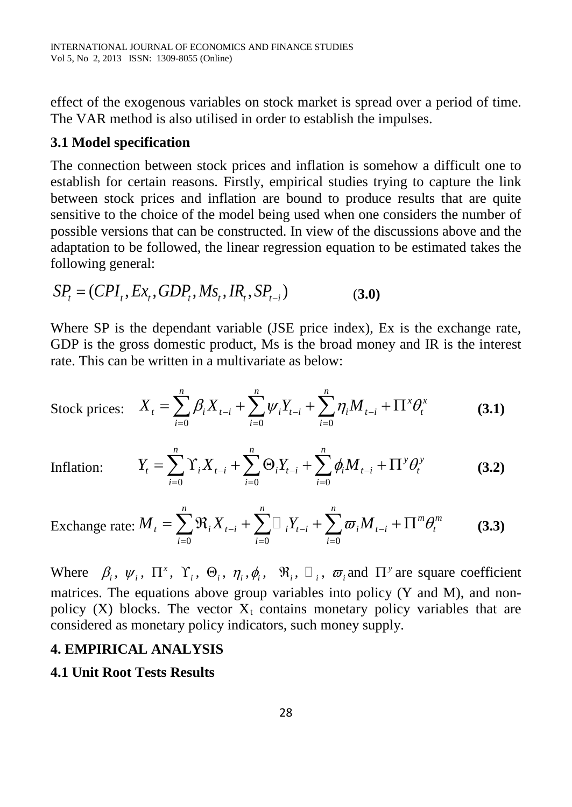effect of the exogenous variables on stock market is spread over a period of time. The VAR method is also utilised in order to establish the impulses.

# **3.1 Model specification**

The connection between stock prices and inflation is somehow a difficult one to establish for certain reasons. Firstly, empirical studies trying to capture the link between stock prices and inflation are bound to produce results that are quite sensitive to the choice of the model being used when one considers the number of possible versions that can be constructed. In view of the discussions above and the adaptation to be followed, the linear regression equation to be estimated takes the following general:

$$
SPt = (CPIt, Ext, GDPt, Mst, IRt, SPt-i)
$$
 (3.0)

Where SP is the dependant variable (JSE price index), Ex is the exchange rate, GDP is the gross domestic product, Ms is the broad money and IR is the interest rate. This can be written in a multivariate as below:

Stock prices: 
$$
X_t = \sum_{i=0}^{n} \beta_i X_{t-i} + \sum_{i=0}^{n} \psi_i Y_{t-i} + \sum_{i=0}^{n} \eta_i M_{t-i} + \Pi^x \theta_t^x
$$
 (3.1)

Inflation:

$$
Y_{t} = \sum_{i=0}^{n} \Upsilon_{i} X_{t-i} + \sum_{i=0}^{n} \Theta_{i} Y_{t-i} + \sum_{i=0}^{n} \phi_{i} M_{t-i} + \Pi^{\gamma} \theta_{t}^{\gamma}
$$
(3.2)

Exchange rate: 
$$
M_t = \sum_{i=0}^{n} \Re_i X_{t-i} + \sum_{i=0}^{n} \Box_i Y_{t-i} + \sum_{i=0}^{n} \varpi_i M_{t-i} + \Pi^{m} \theta_{t}^{m}
$$
 (3.3)

Where  $\beta_i$ ,  $\psi_i$ ,  $\Pi^x$ ,  $\Upsilon_i$ ,  $\Theta_i$ ,  $\eta_i$ ,  $\phi_i$ ,  $\Re_i$ ,  $\Box_i$ ,  $\varpi_i$  and  $\Pi^y$  are square coefficient matrices. The equations above group variables into policy  $(Y \text{ and } M)$ , and nonpolicy (X) blocks. The vector  $X_t$  contains monetary policy variables that are considered as monetary policy indicators, such money supply.

## **4. EMPIRICAL ANALYSIS**

# **4.1 Unit Root Tests Results**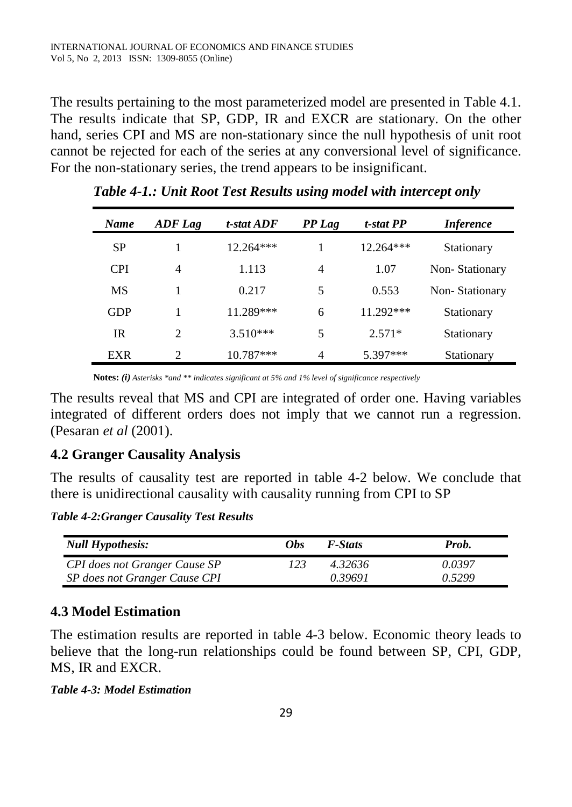The results pertaining to the most parameterized model are presented in Table 4.1. The results indicate that SP, GDP, IR and EXCR are stationary. On the other hand, series CPI and MS are non-stationary since the null hypothesis of unit root cannot be rejected for each of the series at any conversional level of significance. For the non-stationary series, the trend appears to be insignificant.

| Name       | ADF Lag        | t-stat ADF  | PP Lag | t-stat PP   | <i>Inference</i> |
|------------|----------------|-------------|--------|-------------|------------------|
| <b>SP</b>  |                | 12.264***   |        | $12.264***$ | Stationary       |
| <b>CPI</b> | 4              | 1.113       | 4      | 1.07        | Non-Stationary   |
| <b>MS</b>  |                | 0.217       | 5      | 0.553       | Non-Stationary   |
| <b>GDP</b> |                | 11.289***   | 6      | 11.292***   | Stationary       |
| IR         | $\overline{2}$ | $3.510***$  | 5      | $2.571*$    | Stationary       |
| EXR        | ∍              | $10.787***$ | 4      | $5.397***$  | Stationary       |

*Table 4-1.: Unit Root Test Results using model with intercept only*

**Notes:** *(i) Asterisks \*and \*\* indicates significant at 5% and 1% level of significance respectively*

The results reveal that MS and CPI are integrated of order one. Having variables integrated of different orders does not imply that we cannot run a regression. (Pesaran *et al* (2001).

## **4.2 Granger Causality Analysis**

The results of causality test are reported in table 4-2 below. We conclude that there is unidirectional causality with causality running from CPI to SP

*Table 4-2:Granger Causality Test Results*

| <b>Null Hypothesis:</b>              | <i>Obs</i> | <b>F-Stats</b> | Prob.  |
|--------------------------------------|------------|----------------|--------|
| <b>CPI</b> does not Granger Cause SP | 123        | 4.32636        | 0.0397 |
| SP does not Granger Cause CPI        |            | 0.39691        | 0.5299 |

## **4.3 Model Estimation**

The estimation results are reported in table 4-3 below. Economic theory leads to believe that the long-run relationships could be found between SP, CPI, GDP, MS, IR and EXCR.

*Table 4-3: Model Estimation*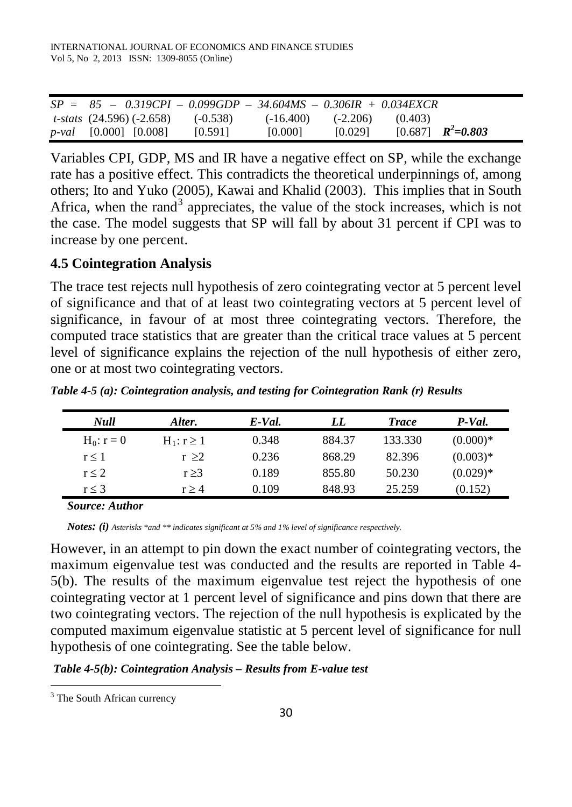| $SP = 85 - 0.319CPI - 0.099GDP - 34.604MS - 0.306IR + 0.034EXCR$ |            |             |            |                         |  |
|------------------------------------------------------------------|------------|-------------|------------|-------------------------|--|
| <i>t-stats</i> $(24.596)$ $(-2.658)$                             | $(-0.538)$ | $(-16.400)$ | $(-2.206)$ | (0.403)                 |  |
| $p$ -val [0.000] [0.008]                                         | [0.591]    | [0.000]     | [0.029]    | $[0.687]$ $R^2 = 0.803$ |  |

Variables CPI, GDP, MS and IR have a negative effect on SP, while the exchange rate has a positive effect. This contradicts the theoretical underpinnings of, among others; Ito and Yuko (2005), Kawai and Khalid (2003). This implies that in South Africa, when the rand<sup>[3](#page-7-0)</sup> appreciates, the value of the stock increases, which is not the case. The model suggests that SP will fall by about 31 percent if CPI was to increase by one percent.

#### **4.5 Cointegration Analysis**

The trace test rejects null hypothesis of zero cointegrating vector at 5 percent level of significance and that of at least two cointegrating vectors at 5 percent level of significance, in favour of at most three cointegrating vectors. Therefore, the computed trace statistics that are greater than the critical trace values at 5 percent level of significance explains the rejection of the null hypothesis of either zero, one or at most two cointegrating vectors.

*Table 4-5 (a): Cointegration analysis, and testing for Cointegration Rank (r) Results* 

| Null         | Alter.          | E-Val. | LL     | <b>Trace</b> | P-Val.     |
|--------------|-----------------|--------|--------|--------------|------------|
| $H_0: r = 0$ | $H_1: r \geq 1$ | 0.348  | 884.37 | 133.330      | $(0.000)*$ |
| r < 1        | r > 2           | 0.236  | 868.29 | 82.396       | $(0.003)*$ |
| r < 2        | $r \geq 3$      | 0.189  | 855.80 | 50.230       | $(0.029)*$ |
| $r \leq 3$   | r > 4           | 0.109  | 848.93 | 25.259       | (0.152)    |

*Source: Author*

*Notes: (i) Asterisks \*and \*\* indicates significant at 5% and 1% level of significance respectively.* 

However, in an attempt to pin down the exact number of cointegrating vectors, the maximum eigenvalue test was conducted and the results are reported in Table 4- 5(b). The results of the maximum eigenvalue test reject the hypothesis of one cointegrating vector at 1 percent level of significance and pins down that there are two cointegrating vectors. The rejection of the null hypothesis is explicated by the computed maximum eigenvalue statistic at 5 percent level of significance for null hypothesis of one cointegrating. See the table below.

*Table 4-5(b): Cointegration Analysis – Results from E-value test*

 $\ddot{\phantom{a}}$ 

<span id="page-7-0"></span> $3$  The South African currency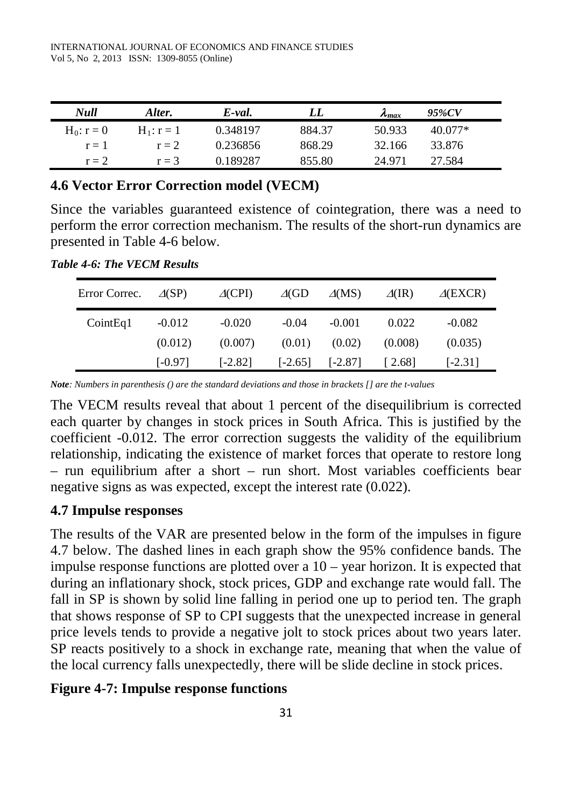| Null         | Alter.       | E-val.   | LL.    | $\lambda_{max}$ | 95%CV     |  |
|--------------|--------------|----------|--------|-----------------|-----------|--|
| $H_0: r = 0$ | $H_1: r = 1$ | 0.348197 | 884.37 | 50.933          | $40.077*$ |  |
| $r = 1$      | $r = 2$      | 0.236856 | 868.29 | 32.166          | 33.876    |  |
| $r = 2$      | $r = 3$      | 0.189287 | 855.80 | 24 971          | 27.584    |  |

### **4.6 Vector Error Correction model (VECM)**

Since the variables guaranteed existence of cointegration, there was a need to perform the error correction mechanism. The results of the short-run dynamics are presented in Table 4-6 below.

*Table 4-6: The VECM Results*

| Error Correc. | $\triangle$ (SP) | $\triangle$ (CPI) | $\triangle$ (GD | $\Delta(MS)$ | $\Delta$ (IR) | $\triangle$ (EXCR) |
|---------------|------------------|-------------------|-----------------|--------------|---------------|--------------------|
| CointEq1      | $-0.012$         | $-0.020$          | $-0.04$         | $-0.001$     | 0.022         | $-0.082$           |
|               | (0.012)          | (0.007)           | (0.01)          | (0.02)       | (0.008)       | (0.035)            |
|               | [-0.97]          | $[-2.82]$         | $[-2.65]$       | $[-2.87]$    | 2.68          | $[-2.31]$          |

*Note: Numbers in parenthesis () are the standard deviations and those in brackets [] are the t-values*

The VECM results reveal that about 1 percent of the disequilibrium is corrected each quarter by changes in stock prices in South Africa. This is justified by the coefficient -0.012. The error correction suggests the validity of the equilibrium relationship, indicating the existence of market forces that operate to restore long – run equilibrium after a short – run short. Most variables coefficients bear negative signs as was expected, except the interest rate (0.022).

#### **4.7 Impulse responses**

The results of the VAR are presented below in the form of the impulses in figure 4.7 below. The dashed lines in each graph show the 95% confidence bands. The impulse response functions are plotted over a 10 – year horizon. It is expected that during an inflationary shock, stock prices, GDP and exchange rate would fall. The fall in SP is shown by solid line falling in period one up to period ten. The graph that shows response of SP to CPI suggests that the unexpected increase in general price levels tends to provide a negative jolt to stock prices about two years later. SP reacts positively to a shock in exchange rate, meaning that when the value of the local currency falls unexpectedly, there will be slide decline in stock prices.

#### **Figure 4-7: Impulse response functions**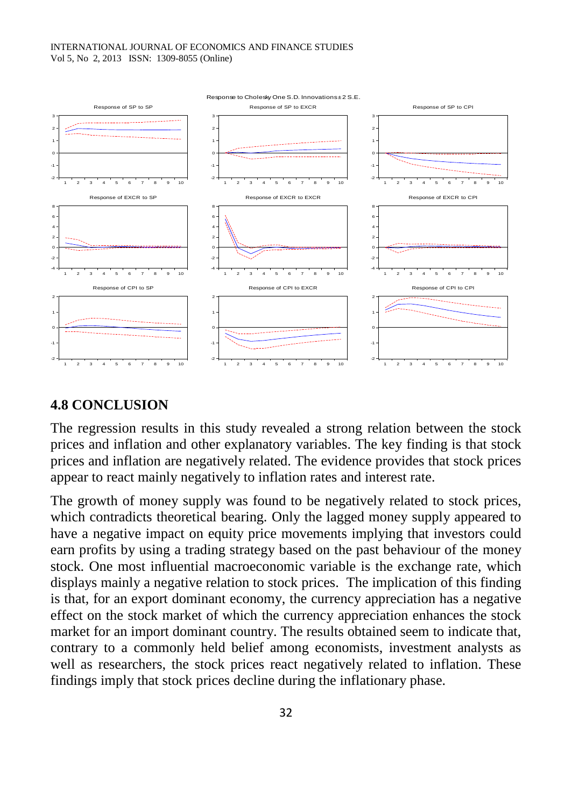#### INTERNATIONAL JOURNAL OF ECONOMICS AND FINANCE STUDIES Vol 5, No 2, 2013 ISSN: 1309-8055 (Online)



#### **4.8 CONCLUSION**

The regression results in this study revealed a strong relation between the stock prices and inflation and other explanatory variables. The key finding is that stock prices and inflation are negatively related. The evidence provides that stock prices appear to react mainly negatively to inflation rates and interest rate.

The growth of money supply was found to be negatively related to stock prices, which contradicts theoretical bearing. Only the lagged money supply appeared to have a negative impact on equity price movements implying that investors could earn profits by using a trading strategy based on the past behaviour of the money stock. One most influential macroeconomic variable is the exchange rate, which displays mainly a negative relation to stock prices. The implication of this finding is that, for an export dominant economy, the currency appreciation has a negative effect on the stock market of which the currency appreciation enhances the stock market for an import dominant country. The results obtained seem to indicate that, contrary to a commonly held belief among economists, investment analysts as well as researchers, the stock prices react negatively related to inflation. These findings imply that stock prices decline during the inflationary phase.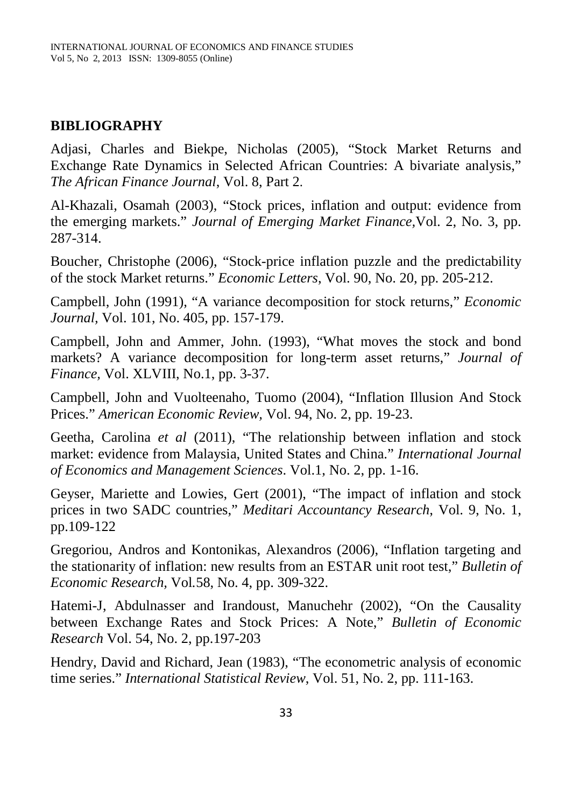# **BIBLIOGRAPHY**

Adjasi, Charles and Biekpe, Nicholas (2005), "Stock Market Returns and Exchange Rate Dynamics in Selected African Countries: A bivariate analysis," *The African Finance Journal*, Vol. 8, Part 2.

Al-Khazali, Osamah (2003), "Stock prices, inflation and output: evidence from the emerging markets." *Journal of Emerging Market Finance,*Vol. 2, No. 3, pp. 287-314.

Boucher, Christophe (2006), "Stock-price inflation puzzle and the predictability of the stock Market returns." *Economic Letters*, Vol. 90, No. 20, pp. 205-212.

Campbell, John (1991), "A variance decomposition for stock returns," *Economic Journal,* Vol. 101, No. 405, pp. 157-179.

Campbell, John and Ammer, John. (1993), "What moves the stock and bond markets? A variance decomposition for long-term asset returns," *Journal of Finance,* Vol. XLVIII, No.1, pp. 3-37.

Campbell, John and Vuolteenaho, Tuomo (2004), "Inflation Illusion And Stock Prices." *American Economic Review,* Vol. 94, No. 2, pp. 19-23.

Geetha, Carolina *et al* (2011), "The relationship between inflation and stock market: evidence from Malaysia, United States and China." *International Journal of Economics and Management Sciences*. Vol.1, No. 2, pp. 1-16.

Geyser, Mariette and Lowies, Gert (2001), "The impact of inflation and stock prices in two SADC countries," *Meditari Accountancy Research*, Vol. 9, No. 1, pp.109-122

Gregoriou, Andros and Kontonikas, Alexandros (2006), "Inflation targeting and the stationarity of inflation: new results from an ESTAR unit root test," *Bulletin of Economic Research,* Vol*.*58, No. 4, pp. 309-322.

Hatemi-J, Abdulnasser and Irandoust, Manuchehr (2002), "On the Causality between Exchange Rates and Stock Prices: A Note," *Bulletin of Economic Research* Vol. 54, No. 2, pp.197-203

Hendry, David and Richard, Jean (1983), "The econometric analysis of economic time series." *International Statistical Review*, Vol. 51, No. 2, pp. 111-163.